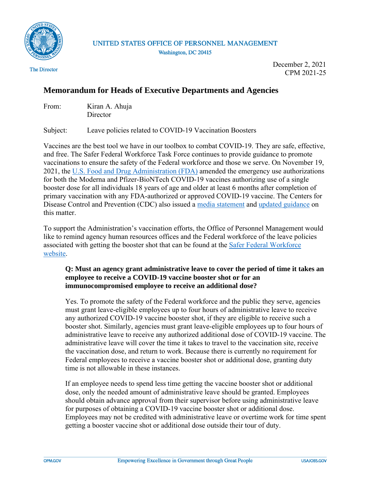

UNITED STATES OFFICE OF PERSONNEL MANAGEMENT Washington, DC 20415

The Director

December 2, 2021 CPM 2021-25

## **Memorandum for Heads of Executive Departments and Agencies**

| From: | Kiran A. Ahuja |
|-------|----------------|
|       | Director       |

Subject: Leave policies related to COVID-19 Vaccination Boosters

Vaccines are the best tool we have in our toolbox to combat COVID-19. They are safe, effective, and free. The Safer Federal Workforce Task Force continues to provide guidance to promote vaccinations to ensure the safety of the Federal workforce and those we serve. On November 19, 2021, the [U.S. Food and Drug Administration \(FDA\)](https://www.fda.gov/news-events/press-announcements/coronavirus-covid-19-update-fda-expands-eligibility-covid-19-vaccine-boosters) amended the emergency use authorizations for both the Moderna and Pfizer-BioNTech COVID-19 vaccines authorizing use of a single booster dose for all individuals 18 years of age and older at least 6 months after completion of primary vaccination with any FDA-authorized or approved COVID-19 vaccine. The Centers for Disease Control and Prevention (CDC) also issued a [media statement](https://www.cdc.gov/media/releases/2021/s1129-booster-recommendations.html) and [updated guidance](https://www.cdc.gov/coronavirus/2019-ncov/vaccines/booster-shot.html) on this matter.

To support the Administration's vaccination efforts, the Office of Personnel Management would like to remind agency human resources offices and the Federal workforce of the leave policies associated with getting the booster shot that can be found at the [Safer Federal Workforce](https://www.saferfederalworkforce.gov/faq/leave/)  [website.](https://www.saferfederalworkforce.gov/faq/leave/)

## **Q: Must an agency grant administrative leave to cover the period of time it takes an employee to receive a COVID-19 vaccine booster shot or for an immunocompromised employee to receive an additional dose?**

Yes. To promote the safety of the Federal workforce and the public they serve, agencies must grant leave-eligible employees up to four hours of administrative leave to receive any authorized COVID-19 vaccine booster shot, if they are eligible to receive such a booster shot. Similarly, agencies must grant leave-eligible employees up to four hours of administrative leave to receive any authorized additional dose of COVID-19 vaccine. The administrative leave will cover the time it takes to travel to the vaccination site, receive the vaccination dose, and return to work. Because there is currently no requirement for Federal employees to receive a vaccine booster shot or additional dose, granting duty time is not allowable in these instances.

If an employee needs to spend less time getting the vaccine booster shot or additional dose, only the needed amount of administrative leave should be granted. Employees should obtain advance approval from their supervisor before using administrative leave for purposes of obtaining a COVID-19 vaccine booster shot or additional dose. Employees may not be credited with administrative leave or overtime work for time spent getting a booster vaccine shot or additional dose outside their tour of duty.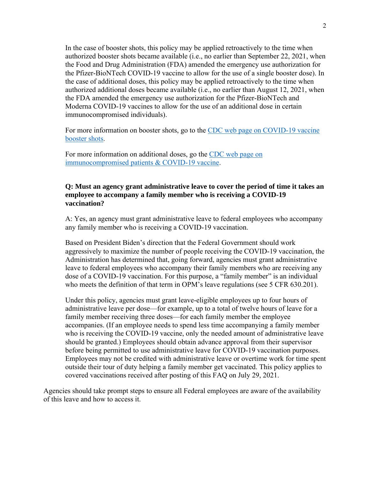In the case of booster shots, this policy may be applied retroactively to the time when authorized booster shots became available (i.e., no earlier than September 22, 2021, when the Food and Drug Administration (FDA) amended the emergency use authorization for the Pfizer-BioNTech COVID-19 vaccine to allow for the use of a single booster dose). In the case of additional doses, this policy may be applied retroactively to the time when authorized additional doses became available (i.e., no earlier than August 12, 2021, when the FDA amended the emergency use authorization for the Pfizer-BioNTech and Moderna COVID-19 vaccines to allow for the use of an additional dose in certain immunocompromised individuals).

For more information on booster shots, go to the [CDC web page on COVID-19 vaccine](https://www.cdc.gov/coronavirus/2019-ncov/vaccines/booster-shot.html)  [booster shots.](https://www.cdc.gov/coronavirus/2019-ncov/vaccines/booster-shot.html)

For more information on additional doses, go the [CDC web page on](https://www.cdc.gov/vaccines/covid-19/clinical-considerations/immunocompromised.html)  [immunocompromised patients & COVID-19 vaccine.](https://www.cdc.gov/vaccines/covid-19/clinical-considerations/immunocompromised.html)

## **Q: Must an agency grant administrative leave to cover the period of time it takes an employee to accompany a family member who is receiving a COVID-19 vaccination?**

A: Yes, an agency must grant administrative leave to federal employees who accompany any family member who is receiving a COVID-19 vaccination.

Based on President Biden's direction that the Federal Government should work aggressively to maximize the number of people receiving the COVID-19 vaccination, the Administration has determined that, going forward, agencies must grant administrative leave to federal employees who accompany their family members who are receiving any dose of a COVID-19 vaccination. For this purpose, a "family member" is an individual who meets the definition of that term in OPM's leave regulations (see 5 CFR 630.201).

Under this policy, agencies must grant leave-eligible employees up to four hours of administrative leave per dose—for example, up to a total of twelve hours of leave for a family member receiving three doses—for each family member the employee accompanies. (If an employee needs to spend less time accompanying a family member who is receiving the COVID-19 vaccine, only the needed amount of administrative leave should be granted.) Employees should obtain advance approval from their supervisor before being permitted to use administrative leave for COVID-19 vaccination purposes. Employees may not be credited with administrative leave or overtime work for time spent outside their tour of duty helping a family member get vaccinated. This policy applies to covered vaccinations received after posting of this FAQ on July 29, 2021.

Agencies should take prompt steps to ensure all Federal employees are aware of the availability of this leave and how to access it.